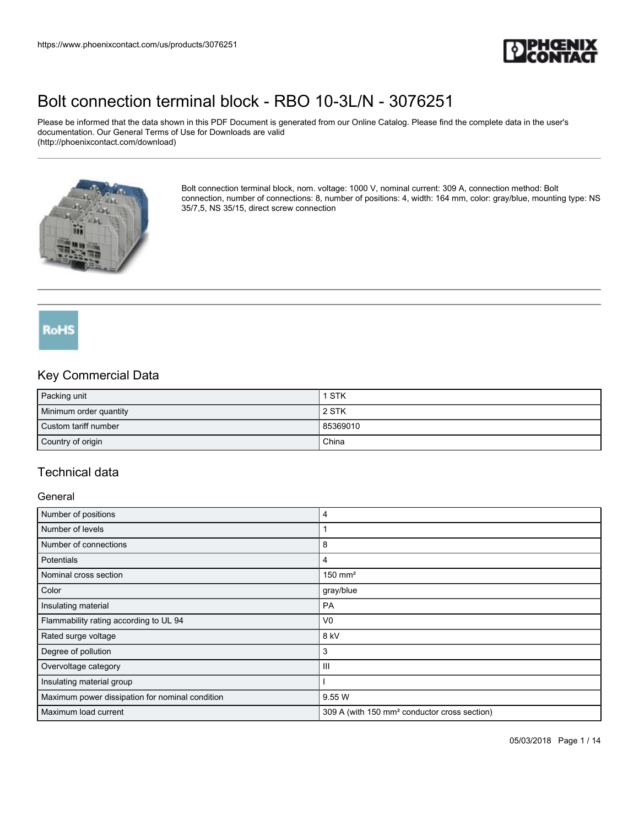

Please be informed that the data shown in this PDF Document is generated from our Online Catalog. Please find the complete data in the user's documentation. Our General Terms of Use for Downloads are valid (http://phoenixcontact.com/download)



Bolt connection terminal block, nom. voltage: 1000 V, nominal current: 309 A, connection method: Bolt connection, number of connections: 8, number of positions: 4, width: 164 mm, color: gray/blue, mounting type: NS 35/7,5, NS 35/15, direct screw connection

## RoHS

### Key Commercial Data

| Packing unit           | 1 STK    |
|------------------------|----------|
| Minimum order quantity | 2 STK    |
| Custom tariff number   | 85369010 |
| Country of origin      | China    |

## Technical data

#### **General**

| Number of positions                             | 4                                                        |
|-------------------------------------------------|----------------------------------------------------------|
| Number of levels                                |                                                          |
| Number of connections                           | 8                                                        |
| <b>Potentials</b>                               | 4                                                        |
| Nominal cross section                           | $150$ mm <sup>2</sup>                                    |
| Color                                           | gray/blue                                                |
| Insulating material                             | PA                                                       |
| Flammability rating according to UL 94          | V <sub>0</sub>                                           |
| Rated surge voltage                             | 8 kV                                                     |
| Degree of pollution                             | 3                                                        |
| Overvoltage category                            | $\mathbf{III}$                                           |
| Insulating material group                       |                                                          |
| Maximum power dissipation for nominal condition | 9.55 W                                                   |
| Maximum load current                            | 309 A (with 150 mm <sup>2</sup> conductor cross section) |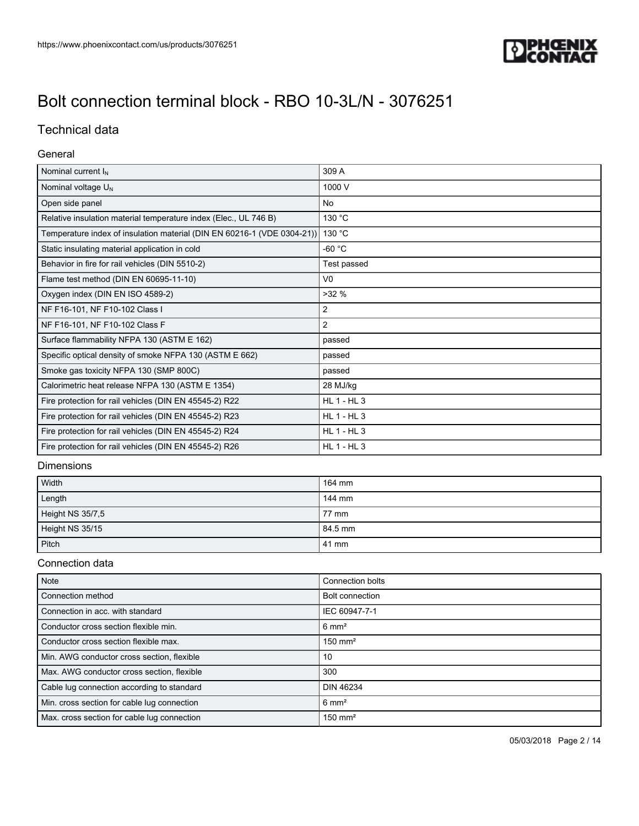

## Technical data

### General

| Nominal current I <sub>N</sub>                                          | 309 A              |
|-------------------------------------------------------------------------|--------------------|
| Nominal voltage $U_N$                                                   | 1000 V             |
| Open side panel                                                         | No                 |
| Relative insulation material temperature index (Elec., UL 746 B)        | 130 °C             |
| Temperature index of insulation material (DIN EN 60216-1 (VDE 0304-21)) | 130 °C             |
| Static insulating material application in cold                          | -60 $^{\circ}$ C   |
| Behavior in fire for rail vehicles (DIN 5510-2)                         | Test passed        |
| Flame test method (DIN EN 60695-11-10)                                  | V <sub>0</sub>     |
| Oxygen index (DIN EN ISO 4589-2)                                        | >32%               |
| NF F16-101, NF F10-102 Class I                                          | 2                  |
| NF F16-101, NF F10-102 Class F                                          | $\overline{2}$     |
| Surface flammability NFPA 130 (ASTM E 162)                              | passed             |
| Specific optical density of smoke NFPA 130 (ASTM E 662)                 | passed             |
| Smoke gas toxicity NFPA 130 (SMP 800C)                                  | passed             |
| Calorimetric heat release NFPA 130 (ASTM E 1354)                        | 28 MJ/kg           |
| Fire protection for rail vehicles (DIN EN 45545-2) R22                  | <b>HL 1 - HL 3</b> |
| Fire protection for rail vehicles (DIN EN 45545-2) R23                  | <b>HL 1 - HL 3</b> |
| Fire protection for rail vehicles (DIN EN 45545-2) R24                  | <b>HL 1 - HL 3</b> |
| Fire protection for rail vehicles (DIN EN 45545-2) R26                  | $HL$ 1 - $HL$ 3    |

#### Dimensions

| Width            | 164 mm  |
|------------------|---------|
| Length           | 144 mm  |
| Height NS 35/7,5 | 77 mm   |
| Height NS 35/15  | 84.5 mm |
| Pitch            | 41 mm   |

### Connection data

| Note                                        | Connection bolts       |
|---------------------------------------------|------------------------|
| Connection method                           | <b>Bolt connection</b> |
| Connection in acc. with standard            | IEC 60947-7-1          |
| Conductor cross section flexible min.       | $6 \text{ mm}^2$       |
| Conductor cross section flexible max.       | $150$ mm <sup>2</sup>  |
| Min. AWG conductor cross section, flexible  | 10                     |
| Max. AWG conductor cross section, flexible  | 300                    |
| Cable lug connection according to standard  | <b>DIN 46234</b>       |
| Min. cross section for cable lug connection | $6 \text{ mm}^2$       |
| Max. cross section for cable lug connection | $150 \text{ mm}^2$     |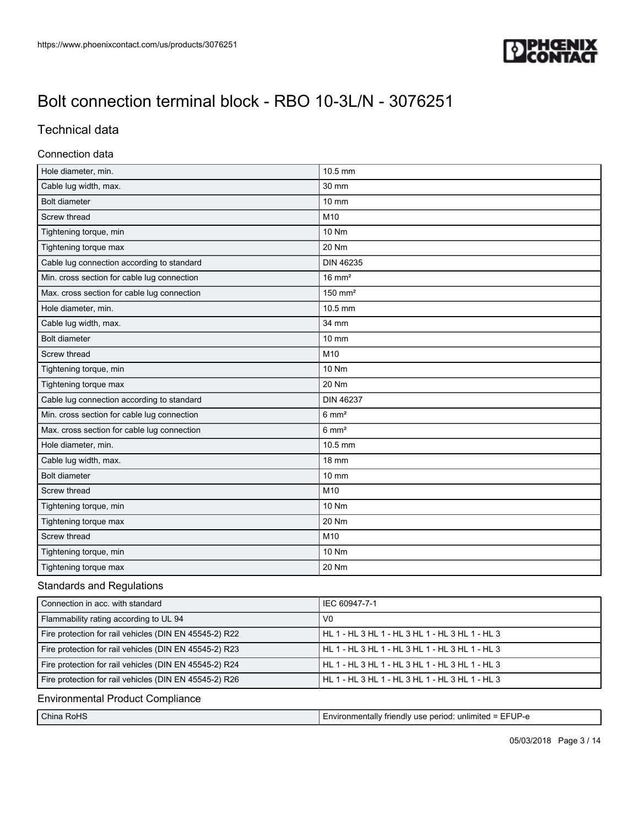

### Technical data

#### Connection data

| Hole diameter, min.                         | 10.5 mm               |
|---------------------------------------------|-----------------------|
| Cable lug width, max.                       | 30 mm                 |
| <b>Bolt diameter</b>                        | $10 \text{ mm}$       |
| Screw thread                                | M10                   |
| Tightening torque, min                      | 10 Nm                 |
| Tightening torque max                       | 20 Nm                 |
| Cable lug connection according to standard  | <b>DIN 46235</b>      |
| Min. cross section for cable lug connection | $16 \text{ mm}^2$     |
| Max. cross section for cable lug connection | $150$ mm <sup>2</sup> |
| Hole diameter, min.                         | 10.5 mm               |
| Cable lug width, max.                       | 34 mm                 |
| <b>Bolt diameter</b>                        | 10 mm                 |
| Screw thread                                | M10                   |
| Tightening torque, min                      | 10 Nm                 |
| Tightening torque max                       | 20 Nm                 |
| Cable lug connection according to standard  | <b>DIN 46237</b>      |
| Min. cross section for cable lug connection | $6 \text{ mm}^2$      |
| Max. cross section for cable lug connection | $6 \text{ mm}^2$      |
| Hole diameter, min.                         | 10.5 mm               |
| Cable lug width, max.                       | <b>18 mm</b>          |
| <b>Bolt diameter</b>                        | 10 mm                 |
| Screw thread                                | M10                   |
| Tightening torque, min                      | 10 Nm                 |
| Tightening torque max                       | 20 Nm                 |
| Screw thread                                | M10                   |
| Tightening torque, min                      | 10 Nm                 |
| Tightening torque max                       | 20 Nm                 |

### Standards and Regulations

| Connection in acc. with standard                       | IEC 60947-7-1                                   |
|--------------------------------------------------------|-------------------------------------------------|
| Flammability rating according to UL 94                 | V <sub>0</sub>                                  |
| Fire protection for rail vehicles (DIN EN 45545-2) R22 | HL 1 - HL 3 HL 1 - HL 3 HL 1 - HL 3 HL 1 - HL 3 |
| Fire protection for rail vehicles (DIN EN 45545-2) R23 | HL 1 - HL 3 HL 1 - HL 3 HL 1 - HL 3 HL 1 - HL 3 |
| Fire protection for rail vehicles (DIN EN 45545-2) R24 | HL 1 - HL 3 HL 1 - HL 3 HL 1 - HL 3 HL 1 - HL 3 |
| Fire protection for rail vehicles (DIN EN 45545-2) R26 |                                                 |

#### Environmental Product Compliance

| $\sim$<br>RoHS<br>;hına | TFUP-J<br>. Environmentall <sup>,</sup><br>: unlimited<br>period:<br>"Iv friendly use".<br>$\sim$ |
|-------------------------|---------------------------------------------------------------------------------------------------|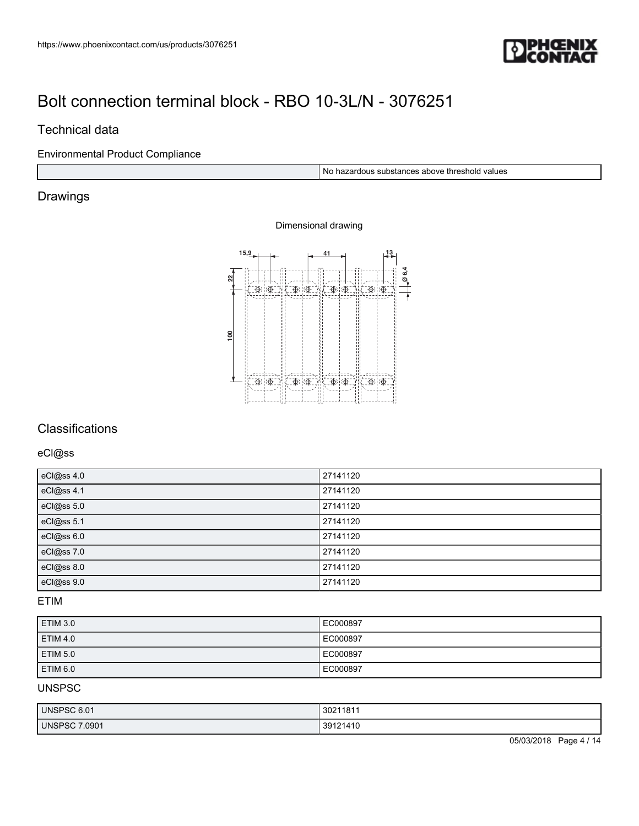

### Technical data

### Environmental Product Compliance

No hazardous substances above threshold values

## Drawings

### Dimensional drawing



### **Classifications**

eCl@ss

| eCl@ss 4.0 | 27141120 |
|------------|----------|
| eCl@ss 4.1 | 27141120 |
| eCl@ss 5.0 | 27141120 |
| eCl@ss 5.1 | 27141120 |
| eCl@ss 6.0 | 27141120 |
| eCl@ss 7.0 | 27141120 |
| eCl@ss 8.0 | 27141120 |
| eCl@ss 9.0 | 27141120 |

#### ETIM

| <b>ETIM 3.0</b> | EC000897 |
|-----------------|----------|
| <b>ETIM 4.0</b> | EC000897 |
| ETIM 5.0        | EC000897 |
| ETIM 6.0        | EC000897 |

#### UNSPSC

| UNSPSC 6.01   | 30211811 |
|---------------|----------|
| UNSPSC 7.0901 | 39121410 |

05/03/2018 Page 4 / 14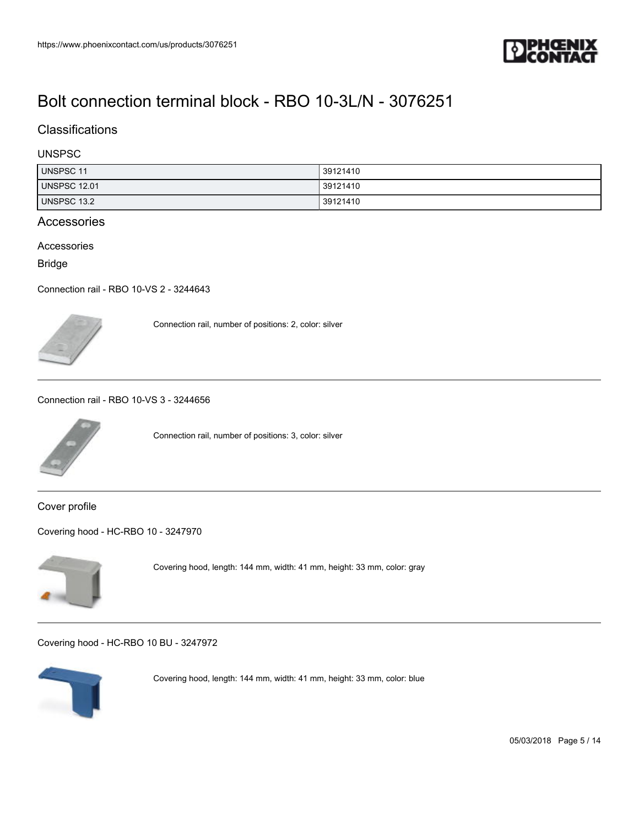

### **Classifications**

### UNSPSC

| UNSPSC 11           | 39121410 |
|---------------------|----------|
| <b>UNSPSC 12.01</b> | 39121410 |
| UNSPSC 13.2         | 39121410 |

#### Accessories

Accessories

Bridge

[Connection rail - RBO 10-VS 2 - 3244643](https://www.phoenixcontact.com/us/products/3244643)



Connection rail, number of positions: 2, color: silver

[Connection rail - RBO 10-VS 3 - 3244656](https://www.phoenixcontact.com/us/products/3244656)



Connection rail, number of positions: 3, color: silver

Cover profile

[Covering hood - HC-RBO 10 - 3247970](https://www.phoenixcontact.com/us/products/3247970)



Covering hood, length: 144 mm, width: 41 mm, height: 33 mm, color: gray

[Covering hood - HC-RBO 10 BU - 3247972](https://www.phoenixcontact.com/us/products/3247972)



Covering hood, length: 144 mm, width: 41 mm, height: 33 mm, color: blue

05/03/2018 Page 5 / 14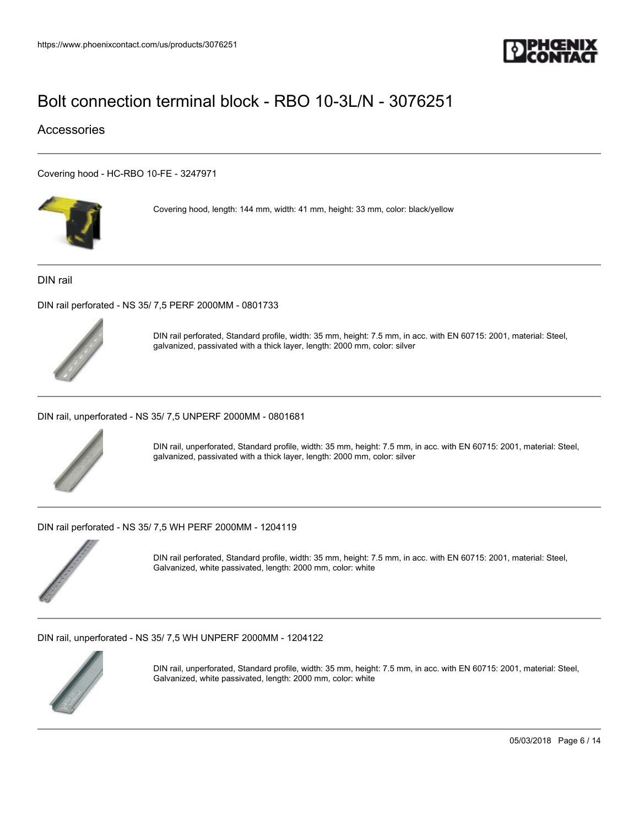

### Accessories

[Covering hood - HC-RBO 10-FE - 3247971](https://www.phoenixcontact.com/us/products/3247971)



Covering hood, length: 144 mm, width: 41 mm, height: 33 mm, color: black/yellow

DIN rail

[DIN rail perforated - NS 35/ 7,5 PERF 2000MM - 0801733](https://www.phoenixcontact.com/us/products/0801733)



DIN rail perforated, Standard profile, width: 35 mm, height: 7.5 mm, in acc. with EN 60715: 2001, material: Steel, galvanized, passivated with a thick layer, length: 2000 mm, color: silver

[DIN rail, unperforated - NS 35/ 7,5 UNPERF 2000MM - 0801681](https://www.phoenixcontact.com/us/products/0801681)



DIN rail, unperforated, Standard profile, width: 35 mm, height: 7.5 mm, in acc. with EN 60715: 2001, material: Steel, galvanized, passivated with a thick layer, length: 2000 mm, color: silver

[DIN rail perforated - NS 35/ 7,5 WH PERF 2000MM - 1204119](https://www.phoenixcontact.com/us/products/1204119)



DIN rail perforated, Standard profile, width: 35 mm, height: 7.5 mm, in acc. with EN 60715: 2001, material: Steel, Galvanized, white passivated, length: 2000 mm, color: white

[DIN rail, unperforated - NS 35/ 7,5 WH UNPERF 2000MM - 1204122](https://www.phoenixcontact.com/us/products/1204122)



DIN rail, unperforated, Standard profile, width: 35 mm, height: 7.5 mm, in acc. with EN 60715: 2001, material: Steel, Galvanized, white passivated, length: 2000 mm, color: white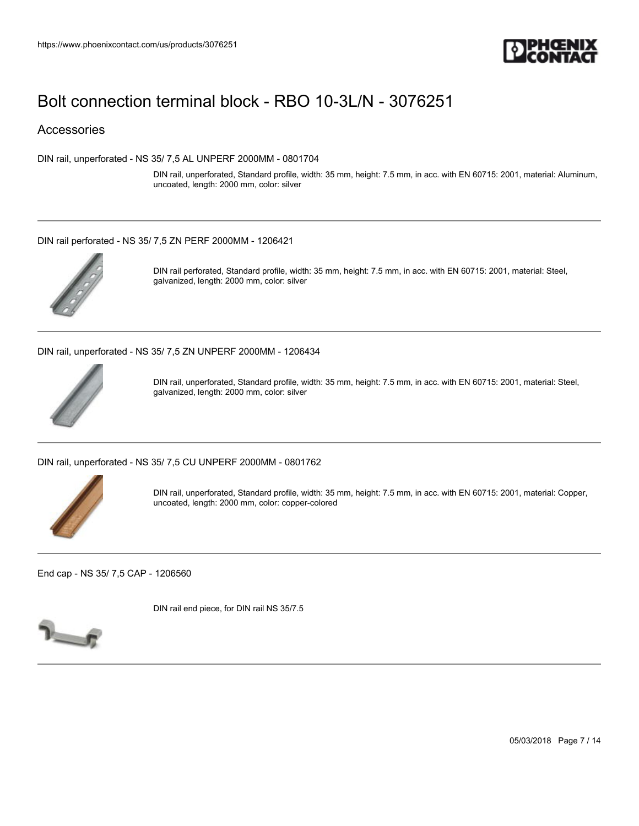

### Accessories

[DIN rail, unperforated - NS 35/ 7,5 AL UNPERF 2000MM - 0801704](https://www.phoenixcontact.com/us/products/0801704)

DIN rail, unperforated, Standard profile, width: 35 mm, height: 7.5 mm, in acc. with EN 60715: 2001, material: Aluminum, uncoated, length: 2000 mm, color: silver

#### [DIN rail perforated - NS 35/ 7,5 ZN PERF 2000MM - 1206421](https://www.phoenixcontact.com/us/products/1206421)



DIN rail perforated, Standard profile, width: 35 mm, height: 7.5 mm, in acc. with EN 60715: 2001, material: Steel, galvanized, length: 2000 mm, color: silver

[DIN rail, unperforated - NS 35/ 7,5 ZN UNPERF 2000MM - 1206434](https://www.phoenixcontact.com/us/products/1206434)



DIN rail, unperforated, Standard profile, width: 35 mm, height: 7.5 mm, in acc. with EN 60715: 2001, material: Steel, galvanized, length: 2000 mm, color: silver

[DIN rail, unperforated - NS 35/ 7,5 CU UNPERF 2000MM - 0801762](https://www.phoenixcontact.com/us/products/0801762)



DIN rail, unperforated, Standard profile, width: 35 mm, height: 7.5 mm, in acc. with EN 60715: 2001, material: Copper, uncoated, length: 2000 mm, color: copper-colored

[End cap - NS 35/ 7,5 CAP - 1206560](https://www.phoenixcontact.com/us/products/1206560)

DIN rail end piece, for DIN rail NS 35/7.5



05/03/2018 Page 7 / 14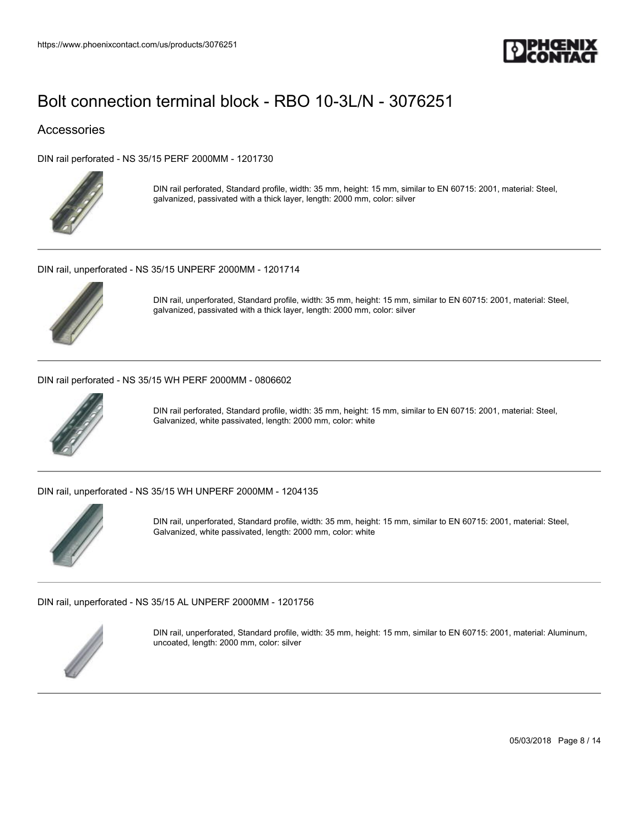

### Accessories

[DIN rail perforated - NS 35/15 PERF 2000MM - 1201730](https://www.phoenixcontact.com/us/products/1201730)



DIN rail perforated, Standard profile, width: 35 mm, height: 15 mm, similar to EN 60715: 2001, material: Steel, galvanized, passivated with a thick layer, length: 2000 mm, color: silver

[DIN rail, unperforated - NS 35/15 UNPERF 2000MM - 1201714](https://www.phoenixcontact.com/us/products/1201714)



DIN rail, unperforated, Standard profile, width: 35 mm, height: 15 mm, similar to EN 60715: 2001, material: Steel, galvanized, passivated with a thick layer, length: 2000 mm, color: silver

[DIN rail perforated - NS 35/15 WH PERF 2000MM - 0806602](https://www.phoenixcontact.com/us/products/0806602)



DIN rail perforated, Standard profile, width: 35 mm, height: 15 mm, similar to EN 60715: 2001, material: Steel, Galvanized, white passivated, length: 2000 mm, color: white

[DIN rail, unperforated - NS 35/15 WH UNPERF 2000MM - 1204135](https://www.phoenixcontact.com/us/products/1204135)



DIN rail, unperforated, Standard profile, width: 35 mm, height: 15 mm, similar to EN 60715: 2001, material: Steel, Galvanized, white passivated, length: 2000 mm, color: white

[DIN rail, unperforated - NS 35/15 AL UNPERF 2000MM - 1201756](https://www.phoenixcontact.com/us/products/1201756)



DIN rail, unperforated, Standard profile, width: 35 mm, height: 15 mm, similar to EN 60715: 2001, material: Aluminum, uncoated, length: 2000 mm, color: silver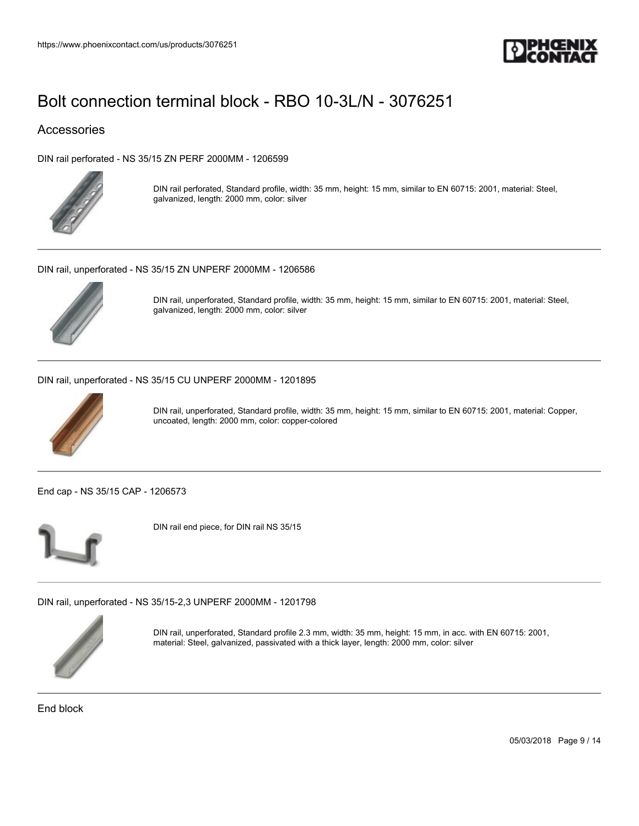

### Accessories

[DIN rail perforated - NS 35/15 ZN PERF 2000MM - 1206599](https://www.phoenixcontact.com/us/products/1206599)



DIN rail perforated, Standard profile, width: 35 mm, height: 15 mm, similar to EN 60715: 2001, material: Steel, galvanized, length: 2000 mm, color: silver

[DIN rail, unperforated - NS 35/15 ZN UNPERF 2000MM - 1206586](https://www.phoenixcontact.com/us/products/1206586)



DIN rail, unperforated, Standard profile, width: 35 mm, height: 15 mm, similar to EN 60715: 2001, material: Steel, galvanized, length: 2000 mm, color: silver

[DIN rail, unperforated - NS 35/15 CU UNPERF 2000MM - 1201895](https://www.phoenixcontact.com/us/products/1201895)



DIN rail, unperforated, Standard profile, width: 35 mm, height: 15 mm, similar to EN 60715: 2001, material: Copper, uncoated, length: 2000 mm, color: copper-colored

[End cap - NS 35/15 CAP - 1206573](https://www.phoenixcontact.com/us/products/1206573)



DIN rail end piece, for DIN rail NS 35/15

[DIN rail, unperforated - NS 35/15-2,3 UNPERF 2000MM - 1201798](https://www.phoenixcontact.com/us/products/1201798)



DIN rail, unperforated, Standard profile 2.3 mm, width: 35 mm, height: 15 mm, in acc. with EN 60715: 2001, material: Steel, galvanized, passivated with a thick layer, length: 2000 mm, color: silver

End block

05/03/2018 Page 9 / 14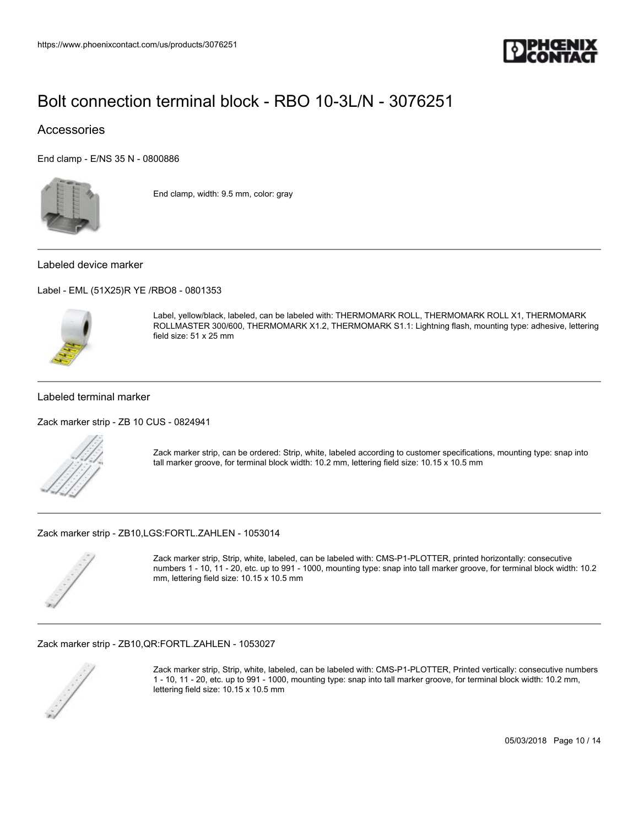

### **Accessories**

[End clamp - E/NS 35 N - 0800886](https://www.phoenixcontact.com/us/products/0800886)



End clamp, width: 9.5 mm, color: gray

#### Labeled device marker

[Label - EML \(51X25\)R YE /RBO8 - 0801353](https://www.phoenixcontact.com/us/products/0801353)



Label, yellow/black, labeled, can be labeled with: THERMOMARK ROLL, THERMOMARK ROLL X1, THERMOMARK ROLLMASTER 300/600, THERMOMARK X1.2, THERMOMARK S1.1: Lightning flash, mounting type: adhesive, lettering field size: 51 x 25 mm

#### Labeled terminal marker

[Zack marker strip - ZB 10 CUS - 0824941](https://www.phoenixcontact.com/us/products/0824941)



Zack marker strip, can be ordered: Strip, white, labeled according to customer specifications, mounting type: snap into tall marker groove, for terminal block width: 10.2 mm, lettering field size: 10.15 x 10.5 mm

[Zack marker strip - ZB10,LGS:FORTL.ZAHLEN - 1053014](https://www.phoenixcontact.com/us/products/1053014)



Zack marker strip, Strip, white, labeled, can be labeled with: CMS-P1-PLOTTER, printed horizontally: consecutive numbers 1 - 10, 11 - 20, etc. up to 991 - 1000, mounting type: snap into tall marker groove, for terminal block width: 10.2 mm, lettering field size: 10.15 x 10.5 mm

#### [Zack marker strip - ZB10,QR:FORTL.ZAHLEN - 1053027](https://www.phoenixcontact.com/us/products/1053027)



Zack marker strip, Strip, white, labeled, can be labeled with: CMS-P1-PLOTTER, Printed vertically: consecutive numbers 1 - 10, 11 - 20, etc. up to 991 - 1000, mounting type: snap into tall marker groove, for terminal block width: 10.2 mm, lettering field size: 10.15 x 10.5 mm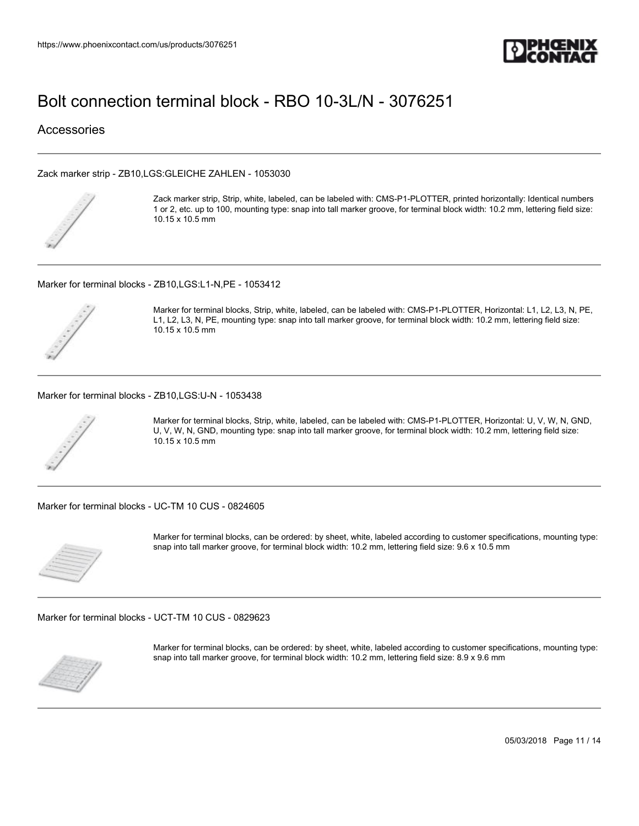

**Accessories** 

#### [Zack marker strip - ZB10,LGS:GLEICHE ZAHLEN - 1053030](https://www.phoenixcontact.com/us/products/1053030)



Zack marker strip, Strip, white, labeled, can be labeled with: CMS-P1-PLOTTER, printed horizontally: Identical numbers 1 or 2, etc. up to 100, mounting type: snap into tall marker groove, for terminal block width: 10.2 mm, lettering field size: 10.15 x 10.5 mm

#### [Marker for terminal blocks - ZB10,LGS:L1-N,PE - 1053412](https://www.phoenixcontact.com/us/products/1053412)



Marker for terminal blocks, Strip, white, labeled, can be labeled with: CMS-P1-PLOTTER, Horizontal: L1, L2, L3, N, PE, L1, L2, L3, N, PE, mounting type: snap into tall marker groove, for terminal block width: 10.2 mm, lettering field size: 10.15 x 10.5 mm

[Marker for terminal blocks - ZB10,LGS:U-N - 1053438](https://www.phoenixcontact.com/us/products/1053438)



Marker for terminal blocks, Strip, white, labeled, can be labeled with: CMS-P1-PLOTTER, Horizontal: U, V, W, N, GND, U, V, W, N, GND, mounting type: snap into tall marker groove, for terminal block width: 10.2 mm, lettering field size: 10.15 x 10.5 mm

[Marker for terminal blocks - UC-TM 10 CUS - 0824605](https://www.phoenixcontact.com/us/products/0824605)



Marker for terminal blocks, can be ordered: by sheet, white, labeled according to customer specifications, mounting type: snap into tall marker groove, for terminal block width: 10.2 mm, lettering field size: 9.6 x 10.5 mm

[Marker for terminal blocks - UCT-TM 10 CUS - 0829623](https://www.phoenixcontact.com/us/products/0829623)



Marker for terminal blocks, can be ordered: by sheet, white, labeled according to customer specifications, mounting type: snap into tall marker groove, for terminal block width: 10.2 mm, lettering field size: 8.9 x 9.6 mm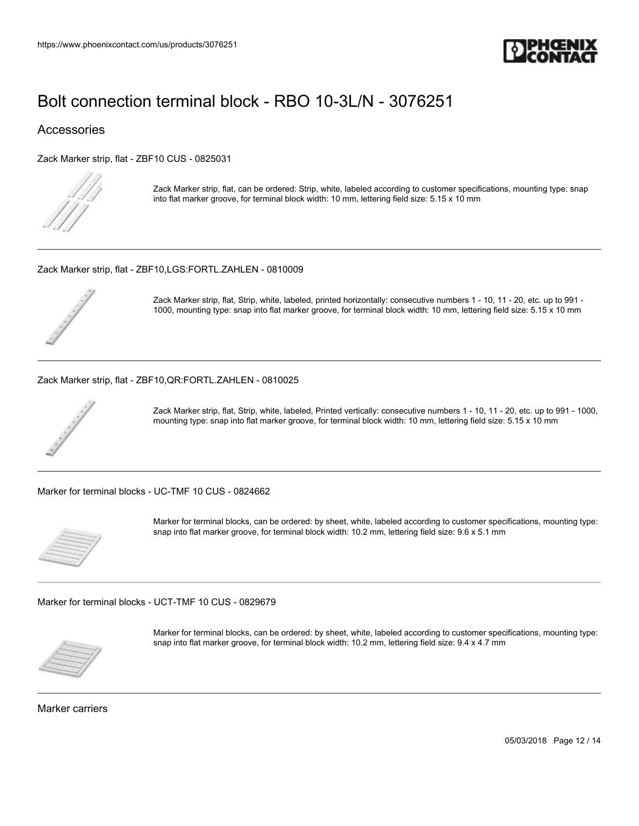

### Accessories

[Zack Marker strip, flat - ZBF10 CUS - 0825031](https://www.phoenixcontact.com/us/products/0825031)



Zack Marker strip, flat, can be ordered: Strip, white, labeled according to customer specifications, mounting type: snap into flat marker groove, for terminal block width: 10 mm, lettering field size: 5.15 x 10 mm

[Zack Marker strip, flat - ZBF10,LGS:FORTL.ZAHLEN - 0810009](https://www.phoenixcontact.com/us/products/0810009)



Zack Marker strip, flat, Strip, white, labeled, printed horizontally: consecutive numbers 1 - 10, 11 - 20, etc. up to 991 - 1000, mounting type: snap into flat marker groove, for terminal block width: 10 mm, lettering field size: 5.15 x 10 mm

#### [Zack Marker strip, flat - ZBF10,QR:FORTL.ZAHLEN - 0810025](https://www.phoenixcontact.com/us/products/0810025)



Zack Marker strip, flat, Strip, white, labeled, Printed vertically: consecutive numbers 1 - 10, 11 - 20, etc. up to 991 - 1000, mounting type: snap into flat marker groove, for terminal block width: 10 mm, lettering field size: 5.15 x 10 mm

[Marker for terminal blocks - UC-TMF 10 CUS - 0824662](https://www.phoenixcontact.com/us/products/0824662)



Marker for terminal blocks, can be ordered: by sheet, white, labeled according to customer specifications, mounting type: snap into flat marker groove, for terminal block width: 10.2 mm, lettering field size: 9.6 x 5.1 mm

[Marker for terminal blocks - UCT-TMF 10 CUS - 0829679](https://www.phoenixcontact.com/us/products/0829679)



Marker for terminal blocks, can be ordered: by sheet, white, labeled according to customer specifications, mounting type: snap into flat marker groove, for terminal block width: 10.2 mm, lettering field size: 9.4 x 4.7 mm

Marker carriers

05/03/2018 Page 12 / 14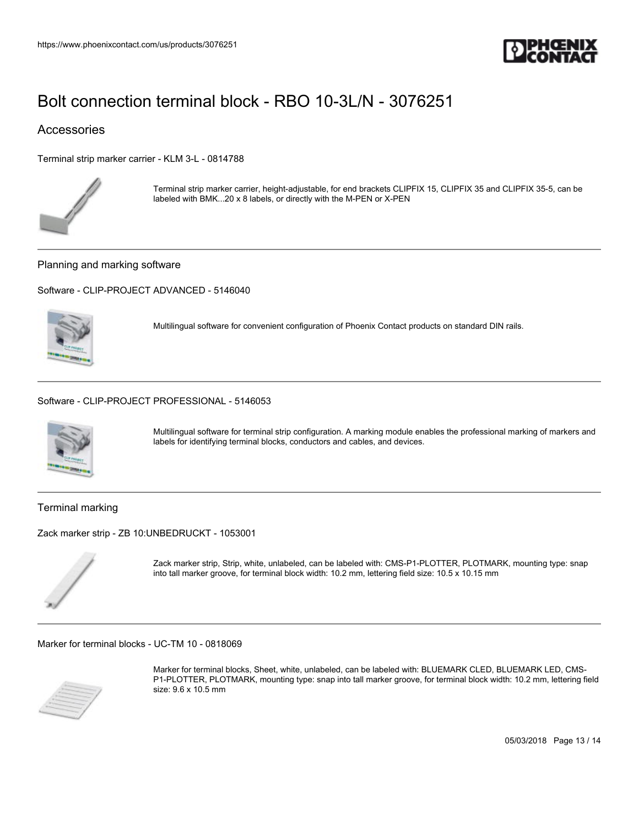

### Accessories

[Terminal strip marker carrier - KLM 3-L - 0814788](https://www.phoenixcontact.com/us/products/0814788)



Terminal strip marker carrier, height-adjustable, for end brackets CLIPFIX 15, CLIPFIX 35 and CLIPFIX 35-5, can be labeled with BMK...20 x 8 labels, or directly with the M-PEN or X-PEN

Planning and marking software

[Software - CLIP-PROJECT ADVANCED - 5146040](https://www.phoenixcontact.com/us/products/5146040)



Multilingual software for convenient configuration of Phoenix Contact products on standard DIN rails.

[Software - CLIP-PROJECT PROFESSIONAL - 5146053](https://www.phoenixcontact.com/us/products/5146053)



Multilingual software for terminal strip configuration. A marking module enables the professional marking of markers and labels for identifying terminal blocks, conductors and cables, and devices.

Terminal marking

[Zack marker strip - ZB 10:UNBEDRUCKT - 1053001](https://www.phoenixcontact.com/us/products/1053001)



Zack marker strip, Strip, white, unlabeled, can be labeled with: CMS-P1-PLOTTER, PLOTMARK, mounting type: snap into tall marker groove, for terminal block width: 10.2 mm, lettering field size: 10.5 x 10.15 mm

[Marker for terminal blocks - UC-TM 10 - 0818069](https://www.phoenixcontact.com/us/products/0818069)



Marker for terminal blocks, Sheet, white, unlabeled, can be labeled with: BLUEMARK CLED, BLUEMARK LED, CMS-P1-PLOTTER, PLOTMARK, mounting type: snap into tall marker groove, for terminal block width: 10.2 mm, lettering field size: 9.6 x 10.5 mm

05/03/2018 Page 13 / 14